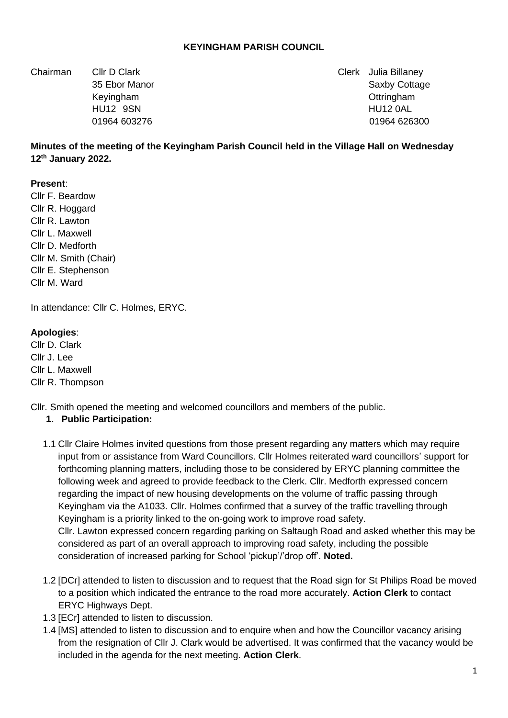#### **KEYINGHAM PARISH COUNCIL**

Chairman Cllr D Clark Clerk Julia Billaney

35 Ebor Manor Saxby Cottage 35 Ebor Manor Saxby Cottage 35 Ebor Manor Saxby Cottage Keyingham **Ottringham Contract Contract Contract Contract Contract Contract Contract Contract Contract Contract Contract Contract Contract Contract Contract Contract Contract Contract Contract Contract Contract Contract** HU12 9SN HU12 0AL 01964 603276 01964 626300

## **Minutes of the meeting of the Keyingham Parish Council held in the Village Hall on Wednesday 12th January 2022.**

#### **Present**:

Cllr F. Beardow Cllr R. Hoggard Cllr R. Lawton Cllr L. Maxwell Cllr D. Medforth Cllr M. Smith (Chair) Cllr E. Stephenson Cllr M. Ward

In attendance: Cllr C. Holmes, ERYC.

#### **Apologies**:

Cllr D. Clark Cllr J. Lee Cllr L. Maxwell Cllr R. Thompson

Cllr. Smith opened the meeting and welcomed councillors and members of the public.

#### **1. Public Participation:**

- 1.1 Cllr Claire Holmes invited questions from those present regarding any matters which may require input from or assistance from Ward Councillors. Cllr Holmes reiterated ward councillors' support for forthcoming planning matters, including those to be considered by ERYC planning committee the following week and agreed to provide feedback to the Clerk. Cllr. Medforth expressed concern regarding the impact of new housing developments on the volume of traffic passing through Keyingham via the A1033. Cllr. Holmes confirmed that a survey of the traffic travelling through Keyingham is a priority linked to the on-going work to improve road safety. Cllr. Lawton expressed concern regarding parking on Saltaugh Road and asked whether this may be considered as part of an overall approach to improving road safety, including the possible consideration of increased parking for School 'pickup'/'drop off'. **Noted.**
- 1.2 [DCr] attended to listen to discussion and to request that the Road sign for St Philips Road be moved to a position which indicated the entrance to the road more accurately. **Action Clerk** to contact ERYC Highways Dept.
- 1.3 [ECr] attended to listen to discussion.
- 1.4 [MS] attended to listen to discussion and to enquire when and how the Councillor vacancy arising from the resignation of Cllr J. Clark would be advertised. It was confirmed that the vacancy would be included in the agenda for the next meeting. **Action Clerk**.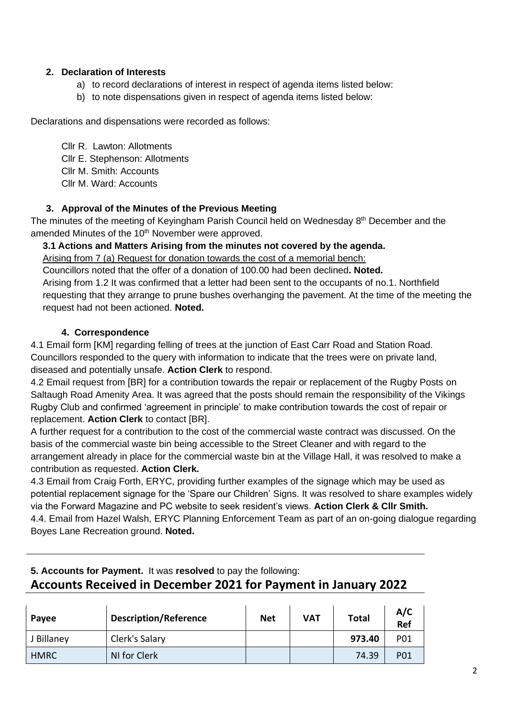# **2. Declaration of Interests**

- a) to record declarations of interest in respect of agenda items listed below:
- b) to note dispensations given in respect of agenda items listed below:

Declarations and dispensations were recorded as follows:

Cllr R. Lawton: Allotments Cllr E. Stephenson: Allotments Cllr M. Smith: Accounts Cllr M. Ward: Accounts

# **3. Approval of the Minutes of the Previous Meeting**

The minutes of the meeting of Keyingham Parish Council held on Wednesday 8<sup>th</sup> December and the amended Minutes of the 10<sup>th</sup> November were approved.

# **3.1 Actions and Matters Arising from the minutes not covered by the agenda.**

Arising from 7 (a) Request for donation towards the cost of a memorial bench:

Councillors noted that the offer of a donation of 100.00 had been declined**. Noted.** Arising from 1.2 It was confirmed that a letter had been sent to the occupants of no.1. Northfield requesting that they arrange to prune bushes overhanging the pavement. At the time of the meeting the request had not been actioned. **Noted.**

## **4. Correspondence**

4.1 Email form [KM] regarding felling of trees at the junction of East Carr Road and Station Road. Councillors responded to the query with information to indicate that the trees were on private land, diseased and potentially unsafe. **Action Clerk** to respond.

4.2 Email request from [BR] for a contribution towards the repair or replacement of the Rugby Posts on Saltaugh Road Amenity Area. It was agreed that the posts should remain the responsibility of the Vikings Rugby Club and confirmed 'agreement in principle' to make contribution towards the cost of repair or replacement. **Action Clerk** to contact [BR].

A further request for a contribution to the cost of the commercial waste contract was discussed. On the basis of the commercial waste bin being accessible to the Street Cleaner and with regard to the arrangement already in place for the commercial waste bin at the Village Hall, it was resolved to make a contribution as requested. **Action Clerk.**

4.3 Email from Craig Forth, ERYC, providing further examples of the signage which may be used as potential replacement signage for the 'Spare our Children' Signs. It was resolved to share examples widely via the Forward Magazine and PC website to seek resident's views. **Action Clerk & Cllr Smith.** 4.4. Email from Hazel Walsh, ERYC Planning Enforcement Team as part of an on-going dialogue regarding Boyes Lane Recreation ground. **Noted.**

# **5. Accounts for Payment.** It was **resolved** to pay the following: **Accounts Received in December 2021 for Payment in January 2022**

| Payee       | <b>Description/Reference</b> | <b>Net</b> | VAT | Total  | A/C<br>Ref |
|-------------|------------------------------|------------|-----|--------|------------|
| J Billaney  | Clerk's Salary               |            |     | 973.40 | <b>P01</b> |
| <b>HMRC</b> | NI for Clerk                 |            |     | 74.39  | <b>P01</b> |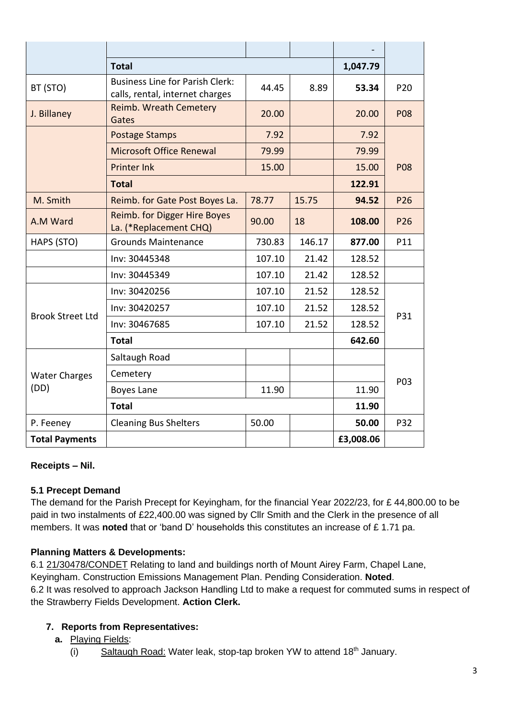|                              | <b>Total</b>                                                              | 1,047.79 |        |           |                 |
|------------------------------|---------------------------------------------------------------------------|----------|--------|-----------|-----------------|
| BT (STO)                     | <b>Business Line for Parish Clerk:</b><br>calls, rental, internet charges | 44.45    | 8.89   | 53.34     | P <sub>20</sub> |
| J. Billaney                  | Reimb. Wreath Cemetery<br>Gates                                           | 20.00    |        | 20.00     | <b>P08</b>      |
|                              | <b>Postage Stamps</b>                                                     | 7.92     |        | 7.92      |                 |
|                              | <b>Microsoft Office Renewal</b>                                           | 79.99    |        | 79.99     |                 |
|                              | <b>Printer Ink</b>                                                        | 15.00    |        | 15.00     | <b>P08</b>      |
|                              |                                                                           | 122.91   |        |           |                 |
| M. Smith                     | Reimb. for Gate Post Boyes La.                                            | 78.77    | 15.75  | 94.52     | P26             |
| A.M Ward                     | Reimb. for Digger Hire Boyes<br>La. (*Replacement CHQ)                    | 90.00    | 18     | 108.00    | P <sub>26</sub> |
| HAPS (STO)                   | <b>Grounds Maintenance</b>                                                | 730.83   | 146.17 | 877.00    | P11             |
|                              | Inv: 30445348                                                             | 107.10   | 21.42  | 128.52    |                 |
|                              | Inv: 30445349                                                             | 107.10   | 21.42  | 128.52    |                 |
| <b>Brook Street Ltd</b>      | Inv: 30420256                                                             | 107.10   | 21.52  | 128.52    | P31             |
|                              | Inv: 30420257                                                             | 107.10   | 21.52  | 128.52    |                 |
|                              | Inv: 30467685                                                             | 107.10   | 21.52  | 128.52    |                 |
|                              | <b>Total</b>                                                              | 642.60   |        |           |                 |
| <b>Water Charges</b><br>(DD) | Saltaugh Road                                                             |          |        |           | P03             |
|                              | Cemetery                                                                  |          |        |           |                 |
|                              | Boyes Lane                                                                | 11.90    |        | 11.90     |                 |
|                              | <b>Total</b>                                                              |          |        | 11.90     |                 |
| P. Feeney                    | <b>Cleaning Bus Shelters</b>                                              | 50.00    |        | 50.00     | P32             |
| <b>Total Payments</b>        |                                                                           |          |        | £3,008.06 |                 |

## **Receipts – Nil.**

## **5.1 Precept Demand**

The demand for the Parish Precept for Keyingham, for the financial Year 2022/23, for £ 44,800.00 to be paid in two instalments of £22,400.00 was signed by Cllr Smith and the Clerk in the presence of all members. It was **noted** that or 'band D' households this constitutes an increase of £ 1.71 pa.

## **Planning Matters & Developments:**

6.1 21/30478/CONDET Relating to land and buildings north of Mount Airey Farm, Chapel Lane, Keyingham. Construction Emissions Management Plan. Pending Consideration. **Noted**. 6.2 It was resolved to approach Jackson Handling Ltd to make a request for commuted sums in respect of the Strawberry Fields Development. **Action Clerk.**

# **7. Reports from Representatives:**

- **a.** Playing Fields:
	- (i) Saltaugh Road: Water leak, stop-tap broken YW to attend  $18<sup>th</sup>$  January.